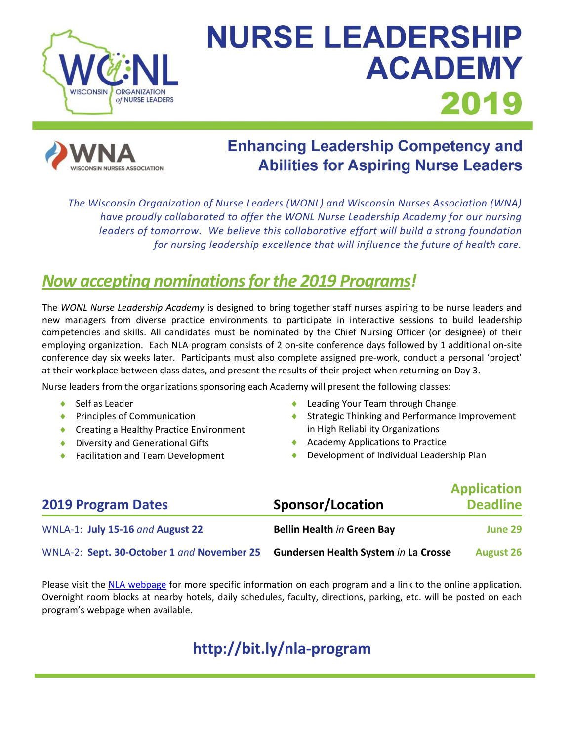

# **NURSE LEADERSHIP ACADEMY** 2019



# **Enhancing Leadership Competency and Abilities for Aspiring Nurse Leaders**

*The Wisconsin Organization of Nurse Leaders (WONL) and Wisconsin Nurses Association (WNA) have proudly collaborated to offer the WONL Nurse Leadership Academy for our nursing leaders of tomorrow. We believe this collaborative effort will build a strong foundation for nursing leadership excellence that will influence the future of health care.*

# *Now accepting nominationsfor the 2019 Programs!*

The *WONL Nurse Leadership Academy* is designed to bring together staff nurses aspiring to be nurse leaders and new managers from diverse practice environments to participate in interactive sessions to build leadership competencies and skills. All candidates must be nominated by the Chief Nursing Officer (or designee) of their employing organization. Each NLA program consists of 2 on-site conference days followed by 1 additional on-site conference day six weeks later. Participants must also complete assigned pre-work, conduct a personal 'project' at their workplace between class dates, and present the results of their project when returning on Day 3.

Nurse leaders from the organizations sponsoring each Academy will present the following classes:

- ◆ Self as Leader
- ◆ Principles of Communication
- Creating a Healthy Practice Environment
- ◆ Diversity and Generational Gifts
- Facilitation and Team Development
- Leading Your Team through Change
- ◆ Strategic Thinking and Performance Improvement in High Reliability Organizations
- ◆ Academy Applications to Practice
- Development of Individual Leadership Plan

| <b>2019 Program Dates</b>                  | Sponsor/Location                            | <b>Application</b><br><b>Deadline</b> |
|--------------------------------------------|---------------------------------------------|---------------------------------------|
| WNLA-1: July 15-16 and August 22           | <b>Bellin Health in Green Bay</b>           | June 29                               |
| WNLA-2: Sept. 30-October 1 and November 25 | <b>Gundersen Health System in La Crosse</b> | <b>August 26</b>                      |

Please visit the [NLA webpage](http://wisconsinnurses.org/?event=wisconsin-nurse-leadership-academy) for more specific information on each program and a link to the online application. Overnight room blocks at nearby hotels, daily schedules, faculty, directions, parking, etc. will be posted on each program's webpage when available.

## **http://bit.ly/nla-program**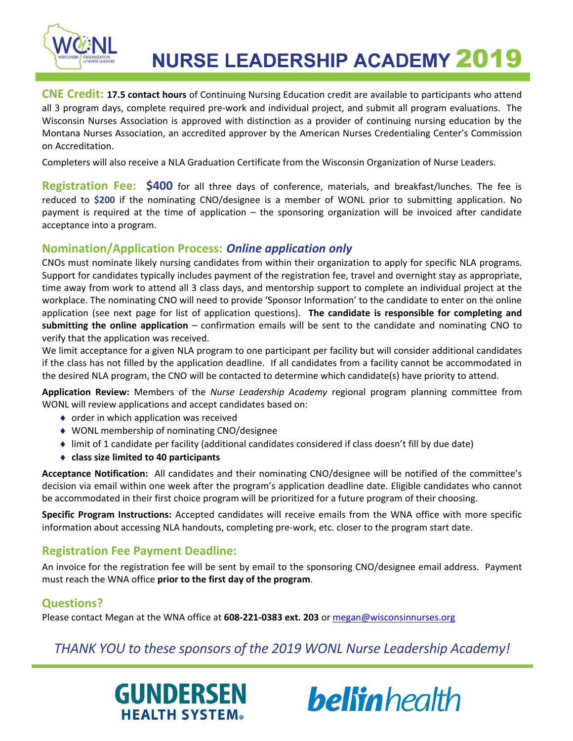

**NURSE LEADERSHIP ACADEMY 2019** 

**CNE Credit: 17.5 contact hours** of Continuing Nursing Education credit are available to participants who attend all 3 program days, complete required pre-work and individual project, and submit all program evaluations. The Wisconsin Nurses Association is approved with distinction as a provider of continuing nursing education by the Montana Nurses Association, an accredited approver by the American Nurses Credentialing Center's Commission on Accreditation.

Completers will also receive a NLA Graduation Certificate from the Wisconsin Organization of Nurse Leaders.

**Registration Fee: \$400** for all three days of conference, materials, and breakfast/lunches. The fee is reduced to **\$200** if the nominating CNO/designee is a member of WONL prior to submitting application. No payment is required at the time of application – the sponsoring organization will be invoiced after candidate acceptance into a program.

## **Nomination/Application Process:** *Online application only*

CNOs must nominate likely nursing candidates from within their organization to apply for specific NLA programs. Support for candidates typically includes payment of the registration fee, travel and overnight stay as appropriate, time away from work to attend all 3 class days, and mentorship support to complete an individual project at the workplace. The nominating CNO will need to provide 'Sponsor Information' to the candidate to enter on the online application (see next page for list of application questions). **The candidate is responsible for completing and submitting the online application** – confirmation emails will be sent to the candidate and nominating CNO to verify that the application was received.

We limit acceptance for a given NLA program to one participant per facility but will consider additional candidates if the class has not filled by the application deadline. If all candidates from a facility cannot be accommodated in the desired NLA program, the CNO will be contacted to determine which candidate(s) have priority to attend.

**Application Review:** Members of the *Nurse Leadership Academy* regional program planning committee from WONL will review applications and accept candidates based on:

- ◆ order in which application was received
- WONL membership of nominating CNO/designee
- limit of 1 candidate per facility (additional candidates considered if class doesn't fill by due date)
- **class size limited to 40 participants**

**Acceptance Notification:** All candidates and their nominating CNO/designee will be notified of the committee's decision via email within one week after the program's application deadline date. Eligible candidates who cannot be accommodated in their first choice program will be prioritized for a future program of their choosing.

**Specific Program Instructions:** Accepted candidates will receive emails from the WNA office with more specific information about accessing NLA handouts, completing pre-work, etc. closer to the program start date.

## **Registration Fee Payment Deadline:**

An invoice for the registration fee will be sent by email to the sponsoring CNO/designee email address. Payment must reach the WNA office **prior to the first day of the program**.

## **Questions?**

Please contact Megan at the WNA office at **608-221-0383 ext. 203** o[r megan@wisconsinnurses.org](mailto:megan@wisconsinnurses.org)

## *THANK YOU to these sponsors of the 2019 WONL Nurse Leadership Academy!*

 $\overline{a}$